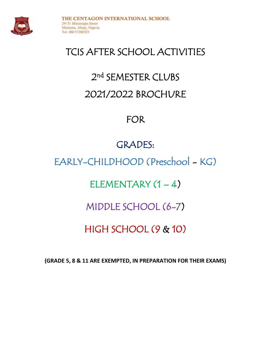

# TCIS AFTER SCHOOL ACTIVITIES

# 2<sup>nd</sup> SEMESTER CLUBS 2021/2022 BROCHURE

## FOR

# GRADES:

# EARLY-CHILDHOOD (Preschool - KG)

## ELEMENTARY  $(1 – 4)$

### MIDDLE SCHOOL (6-7)

# HIGH SCHOOL (9 & 10)

**(GRADE 5, 8 & 11 ARE EXEMPTED, IN PREPARATION FOR THEIR EXAMS)**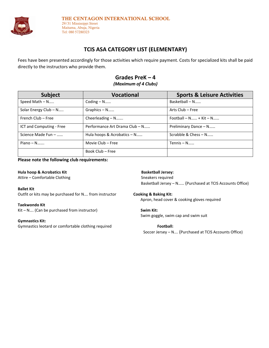

#### 29/31 Mississippi Street Maitama, Abuja, Nigeria Tel: 080 57280323

### **TCIS ASA CATEGORY LIST (ELEMENTARY)**

Fees have been presented accordingly for those activities which require payment. Costs for specialized kits shall be paid directly to the instructors who provide them.

### **Grades PreK – 4**

### *(Maximum of 4 Clubs)*

| <b>Subject</b>           | <b>Vocational</b>              | <b>Sports &amp; Leisure Activities</b> |
|--------------------------|--------------------------------|----------------------------------------|
| Speed Math - N           | Coding $- N$                   | Basketball - N                         |
| Solar Energy Club - N    | $Graphics - N$                 | Arts Club - Free                       |
| French Club - Free       | Cheerleading - N               | Football $- N$ + Kit $- N$             |
| ICT and Computing - Free | Performance Art Drama Club - N | Preliminary Dance - N                  |
| Science Made Fun -       | Hula hoops & Acrobatics - N    | Scrabble & Chess - N                   |
| $Piano - N$              | Movie Club - Free              | Tennis $- N$                           |
|                          | Book Club – Free               |                                        |

### **Please note the following club requirements:**

**Hula hoop & Acrobatics Kit Communist Communist Communist Communist Communist Communist Communist Communist Communist Communist Communist Communist Communist Communist Communist Communist Communist Communist Communist Comm** Attire – Comfortable Clothing Sneakers required Sneakers required

**Ballet Kit**  Outfit or kits may be purchased for N…. from instructor **Cooking & Baking Kit:**

**Taekwondo Kit** Kit – N.... (Can be purchased from instructor) **Swim Kit:** 

**Gymnastics Kit:**

Gymnastics leotard or comfortable clothing required **Football:** 

Basketball Jersey – N…… (Purchased at TCIS Accounts Office)

Apron, head cover & cooking gloves required

### Swim goggle, swim cap and swim suit

```
 Soccer Jersey – N…. (Purchased at TCIS Accounts Office)
```